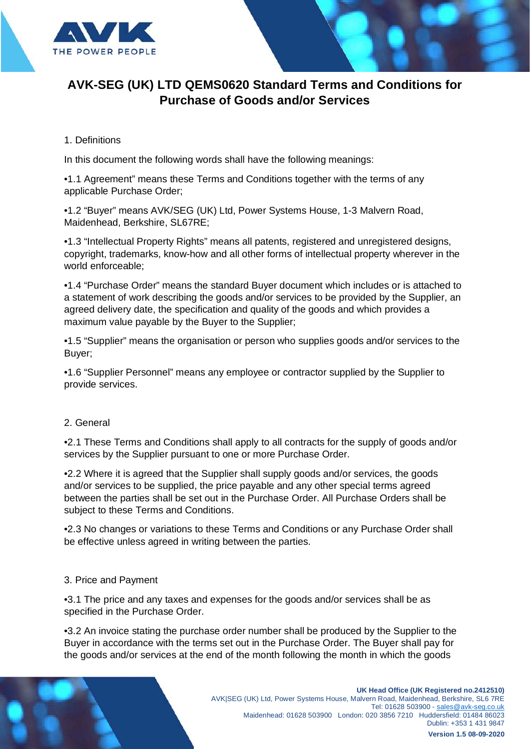

### 1. Definitions

In this document the following words shall have the following meanings:

•1.1 Agreement" means these Terms and Conditions together with the terms of any applicable Purchase Order;

•1.2 "Buyer" means AVK/SEG (UK) Ltd, Power Systems House, 1-3 Malvern Road, Maidenhead, Berkshire, SL67RE;

•1.3 "Intellectual Property Rights" means all patents, registered and unregistered designs, copyright, trademarks, know-how and all other forms of intellectual property wherever in the world enforceable;

•1.4 "Purchase Order" means the standard Buyer document which includes or is attached to a statement of work describing the goods and/or services to be provided by the Supplier, an agreed delivery date, the specification and quality of the goods and which provides a maximum value payable by the Buyer to the Supplier;

•1.5 "Supplier" means the organisation or person who supplies goods and/or services to the Buyer;

•1.6 "Supplier Personnel" means any employee or contractor supplied by the Supplier to provide services.

### 2. General

•2.1 These Terms and Conditions shall apply to all contracts for the supply of goods and/or services by the Supplier pursuant to one or more Purchase Order.

•2.2 Where it is agreed that the Supplier shall supply goods and/or services, the goods and/or services to be supplied, the price payable and any other special terms agreed between the parties shall be set out in the Purchase Order. All Purchase Orders shall be subject to these Terms and Conditions.

•2.3 No changes or variations to these Terms and Conditions or any Purchase Order shall be effective unless agreed in writing between the parties.

### 3. Price and Payment

•3.1 The price and any taxes and expenses for the goods and/or services shall be as specified in the Purchase Order.

•3.2 An invoice stating the purchase order number shall be produced by the Supplier to the Buyer in accordance with the terms set out in the Purchase Order. The Buyer shall pay for the goods and/or services at the end of the month following the month in which the goods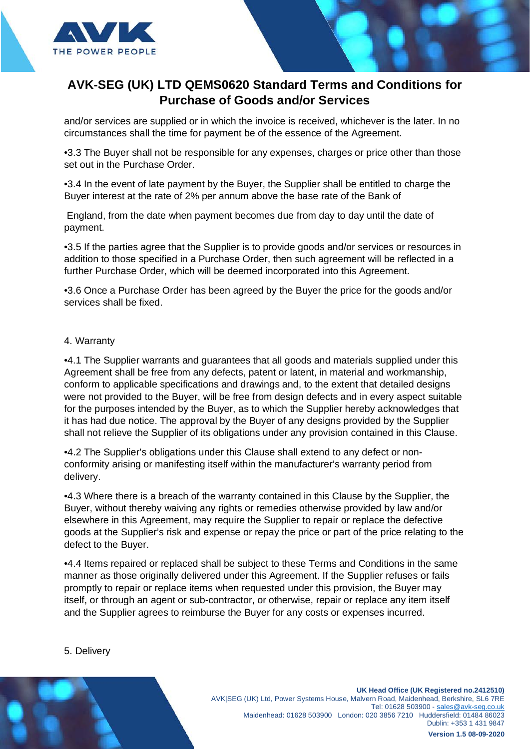

and/or services are supplied or in which the invoice is received, whichever is the later. In no circumstances shall the time for payment be of the essence of the Agreement.

•3.3 The Buyer shall not be responsible for any expenses, charges or price other than those set out in the Purchase Order.

•3.4 In the event of late payment by the Buyer, the Supplier shall be entitled to charge the Buyer interest at the rate of 2% per annum above the base rate of the Bank of

England, from the date when payment becomes due from day to day until the date of payment.

•3.5 If the parties agree that the Supplier is to provide goods and/or services or resources in addition to those specified in a Purchase Order, then such agreement will be reflected in a further Purchase Order, which will be deemed incorporated into this Agreement.

•3.6 Once a Purchase Order has been agreed by the Buyer the price for the goods and/or services shall be fixed.

#### 4. Warranty

•4.1 The Supplier warrants and guarantees that all goods and materials supplied under this Agreement shall be free from any defects, patent or latent, in material and workmanship, conform to applicable specifications and drawings and, to the extent that detailed designs were not provided to the Buyer, will be free from design defects and in every aspect suitable for the purposes intended by the Buyer, as to which the Supplier hereby acknowledges that it has had due notice. The approval by the Buyer of any designs provided by the Supplier shall not relieve the Supplier of its obligations under any provision contained in this Clause.

•4.2 The Supplier's obligations under this Clause shall extend to any defect or nonconformity arising or manifesting itself within the manufacturer's warranty period from delivery.

•4.3 Where there is a breach of the warranty contained in this Clause by the Supplier, the Buyer, without thereby waiving any rights or remedies otherwise provided by law and/or elsewhere in this Agreement, may require the Supplier to repair or replace the defective goods at the Supplier's risk and expense or repay the price or part of the price relating to the defect to the Buyer.

•4.4 Items repaired or replaced shall be subject to these Terms and Conditions in the same manner as those originally delivered under this Agreement. If the Supplier refuses or fails promptly to repair or replace items when requested under this provision, the Buyer may itself, or through an agent or sub-contractor, or otherwise, repair or replace any item itself and the Supplier agrees to reimburse the Buyer for any costs or expenses incurred.

5. Delivery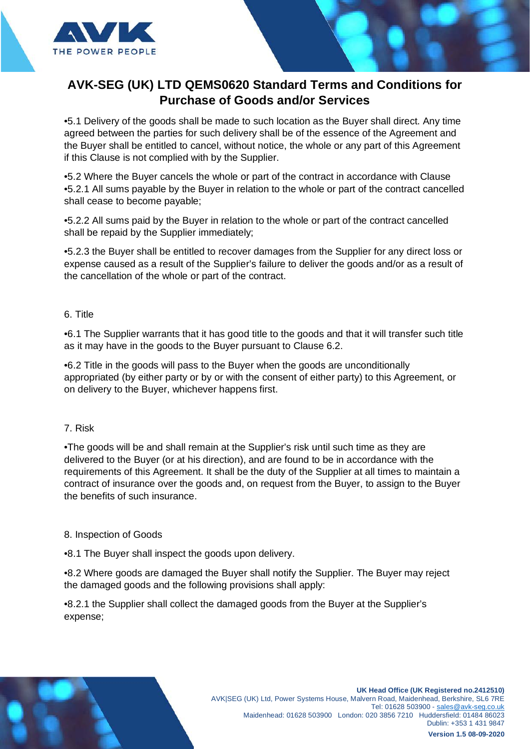

•5.1 Delivery of the goods shall be made to such location as the Buyer shall direct. Any time agreed between the parties for such delivery shall be of the essence of the Agreement and the Buyer shall be entitled to cancel, without notice, the whole or any part of this Agreement if this Clause is not complied with by the Supplier.

•5.2 Where the Buyer cancels the whole or part of the contract in accordance with Clause •5.2.1 All sums payable by the Buyer in relation to the whole or part of the contract cancelled shall cease to become payable;

•5.2.2 All sums paid by the Buyer in relation to the whole or part of the contract cancelled shall be repaid by the Supplier immediately;

•5.2.3 the Buyer shall be entitled to recover damages from the Supplier for any direct loss or expense caused as a result of the Supplier's failure to deliver the goods and/or as a result of the cancellation of the whole or part of the contract.

## 6. Title

•6.1 The Supplier warrants that it has good title to the goods and that it will transfer such title as it may have in the goods to the Buyer pursuant to Clause 6.2.

•6.2 Title in the goods will pass to the Buyer when the goods are unconditionally appropriated (by either party or by or with the consent of either party) to this Agreement, or on delivery to the Buyer, whichever happens first.

### 7. Risk

•The goods will be and shall remain at the Supplier's risk until such time as they are delivered to the Buyer (or at his direction), and are found to be in accordance with the requirements of this Agreement. It shall be the duty of the Supplier at all times to maintain a contract of insurance over the goods and, on request from the Buyer, to assign to the Buyer the benefits of such insurance.

### 8. Inspection of Goods

•8.1 The Buyer shall inspect the goods upon delivery.

•8.2 Where goods are damaged the Buyer shall notify the Supplier. The Buyer may reject the damaged goods and the following provisions shall apply:

•8.2.1 the Supplier shall collect the damaged goods from the Buyer at the Supplier's expense;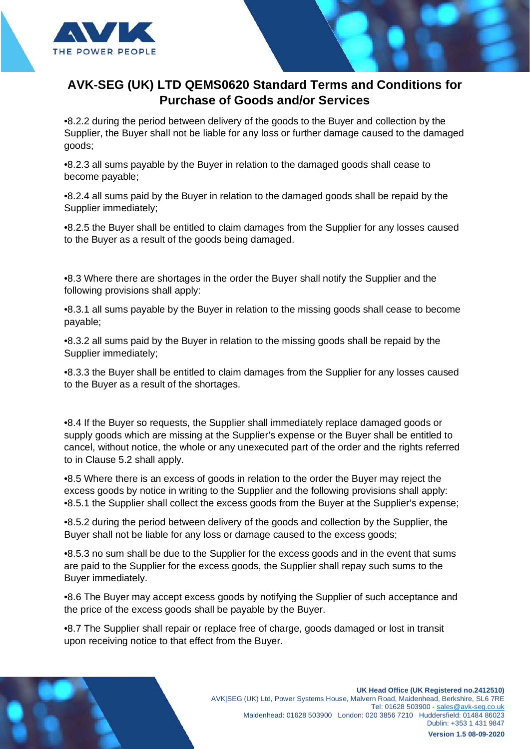

•8.2.2 during the period between delivery of the goods to the Buyer and collection by the Supplier, the Buyer shall not be liable for any loss or further damage caused to the damaged goods;

•8.2.3 all sums payable by the Buyer in relation to the damaged goods shall cease to become payable;

•8.2.4 all sums paid by the Buyer in relation to the damaged goods shall be repaid by the Supplier immediately;

•8.2.5 the Buyer shall be entitled to claim damages from the Supplier for any losses caused to the Buyer as a result of the goods being damaged.

•8.3 Where there are shortages in the order the Buyer shall notify the Supplier and the following provisions shall apply:

•8.3.1 all sums payable by the Buyer in relation to the missing goods shall cease to become payable;

•8.3.2 all sums paid by the Buyer in relation to the missing goods shall be repaid by the Supplier immediately;

•8.3.3 the Buyer shall be entitled to claim damages from the Supplier for any losses caused to the Buyer as a result of the shortages.

•8.4 If the Buyer so requests, the Supplier shall immediately replace damaged goods or supply goods which are missing at the Supplier's expense or the Buyer shall be entitled to cancel, without notice, the whole or any unexecuted part of the order and the rights referred to in Clause 5.2 shall apply.

•8.5 Where there is an excess of goods in relation to the order the Buyer may reject the excess goods by notice in writing to the Supplier and the following provisions shall apply: •8.5.1 the Supplier shall collect the excess goods from the Buyer at the Supplier's expense;

•8.5.2 during the period between delivery of the goods and collection by the Supplier, the Buyer shall not be liable for any loss or damage caused to the excess goods;

•8.5.3 no sum shall be due to the Supplier for the excess goods and in the event that sums are paid to the Supplier for the excess goods, the Supplier shall repay such sums to the Buyer immediately.

•8.6 The Buyer may accept excess goods by notifying the Supplier of such acceptance and the price of the excess goods shall be payable by the Buyer.

•8.7 The Supplier shall repair or replace free of charge, goods damaged or lost in transit upon receiving notice to that effect from the Buyer.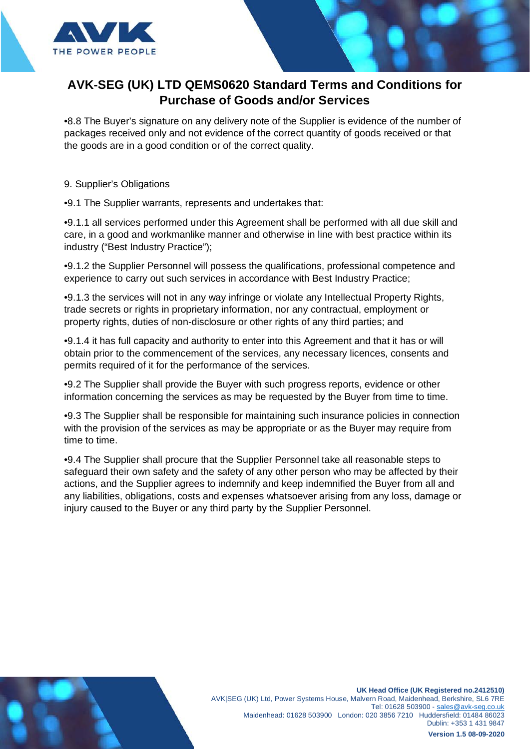

•8.8 The Buyer's signature on any delivery note of the Supplier is evidence of the number of packages received only and not evidence of the correct quantity of goods received or that the goods are in a good condition or of the correct quality.

9. Supplier's Obligations

•9.1 The Supplier warrants, represents and undertakes that:

•9.1.1 all services performed under this Agreement shall be performed with all due skill and care, in a good and workmanlike manner and otherwise in line with best practice within its industry ("Best Industry Practice");

•9.1.2 the Supplier Personnel will possess the qualifications, professional competence and experience to carry out such services in accordance with Best Industry Practice;

•9.1.3 the services will not in any way infringe or violate any Intellectual Property Rights, trade secrets or rights in proprietary information, nor any contractual, employment or property rights, duties of non-disclosure or other rights of any third parties; and

•9.1.4 it has full capacity and authority to enter into this Agreement and that it has or will obtain prior to the commencement of the services, any necessary licences, consents and permits required of it for the performance of the services.

•9.2 The Supplier shall provide the Buyer with such progress reports, evidence or other information concerning the services as may be requested by the Buyer from time to time.

•9.3 The Supplier shall be responsible for maintaining such insurance policies in connection with the provision of the services as may be appropriate or as the Buyer may require from time to time.

•9.4 The Supplier shall procure that the Supplier Personnel take all reasonable steps to safeguard their own safety and the safety of any other person who may be affected by their actions, and the Supplier agrees to indemnify and keep indemnified the Buyer from all and any liabilities, obligations, costs and expenses whatsoever arising from any loss, damage or injury caused to the Buyer or any third party by the Supplier Personnel.

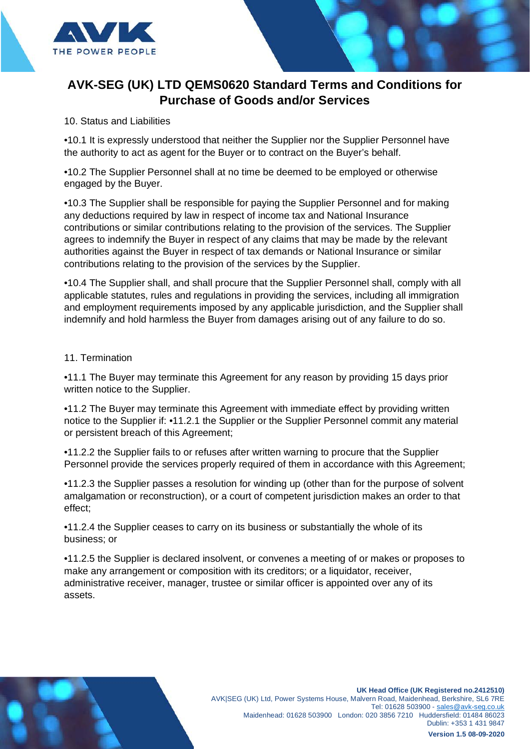

### 10. Status and Liabilities

•10.1 It is expressly understood that neither the Supplier nor the Supplier Personnel have the authority to act as agent for the Buyer or to contract on the Buyer's behalf.

•10.2 The Supplier Personnel shall at no time be deemed to be employed or otherwise engaged by the Buyer.

•10.3 The Supplier shall be responsible for paying the Supplier Personnel and for making any deductions required by law in respect of income tax and National Insurance contributions or similar contributions relating to the provision of the services. The Supplier agrees to indemnify the Buyer in respect of any claims that may be made by the relevant authorities against the Buyer in respect of tax demands or National Insurance or similar contributions relating to the provision of the services by the Supplier.

•10.4 The Supplier shall, and shall procure that the Supplier Personnel shall, comply with all applicable statutes, rules and regulations in providing the services, including all immigration and employment requirements imposed by any applicable jurisdiction, and the Supplier shall indemnify and hold harmless the Buyer from damages arising out of any failure to do so.

### 11. Termination

•11.1 The Buyer may terminate this Agreement for any reason by providing 15 days prior written notice to the Supplier.

•11.2 The Buyer may terminate this Agreement with immediate effect by providing written notice to the Supplier if: •11.2.1 the Supplier or the Supplier Personnel commit any material or persistent breach of this Agreement;

•11.2.2 the Supplier fails to or refuses after written warning to procure that the Supplier Personnel provide the services properly required of them in accordance with this Agreement;

•11.2.3 the Supplier passes a resolution for winding up (other than for the purpose of solvent amalgamation or reconstruction), or a court of competent jurisdiction makes an order to that effect;

•11.2.4 the Supplier ceases to carry on its business or substantially the whole of its business; or

•11.2.5 the Supplier is declared insolvent, or convenes a meeting of or makes or proposes to make any arrangement or composition with its creditors; or a liquidator, receiver, administrative receiver, manager, trustee or similar officer is appointed over any of its assets.

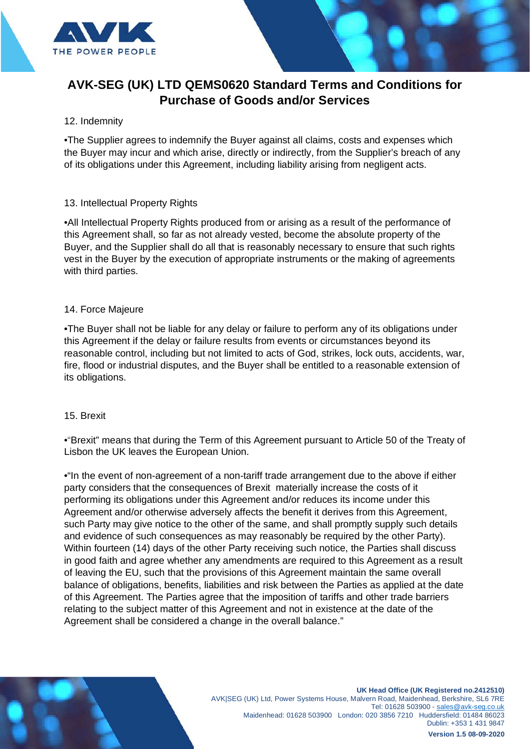

### 12. Indemnity

•The Supplier agrees to indemnify the Buyer against all claims, costs and expenses which the Buyer may incur and which arise, directly or indirectly, from the Supplier's breach of any of its obligations under this Agreement, including liability arising from negligent acts.

### 13. Intellectual Property Rights

•All Intellectual Property Rights produced from or arising as a result of the performance of this Agreement shall, so far as not already vested, become the absolute property of the Buyer, and the Supplier shall do all that is reasonably necessary to ensure that such rights vest in the Buyer by the execution of appropriate instruments or the making of agreements with third parties.

#### 14. Force Majeure

•The Buyer shall not be liable for any delay or failure to perform any of its obligations under this Agreement if the delay or failure results from events or circumstances beyond its reasonable control, including but not limited to acts of God, strikes, lock outs, accidents, war, fire, flood or industrial disputes, and the Buyer shall be entitled to a reasonable extension of its obligations.

#### 15. Brexit

•"Brexit" means that during the Term of this Agreement pursuant to Article 50 of the Treaty of Lisbon the UK leaves the European Union.

•"In the event of non-agreement of a non-tariff trade arrangement due to the above if either party considers that the consequences of Brexit materially increase the costs of it performing its obligations under this Agreement and/or reduces its income under this Agreement and/or otherwise adversely affects the benefit it derives from this Agreement, such Party may give notice to the other of the same, and shall promptly supply such details and evidence of such consequences as may reasonably be required by the other Party). Within fourteen (14) days of the other Party receiving such notice, the Parties shall discuss in good faith and agree whether any amendments are required to this Agreement as a result of leaving the EU, such that the provisions of this Agreement maintain the same overall balance of obligations, benefits, liabilities and risk between the Parties as applied at the date of this Agreement. The Parties agree that the imposition of tariffs and other trade barriers relating to the subject matter of this Agreement and not in existence at the date of the Agreement shall be considered a change in the overall balance."

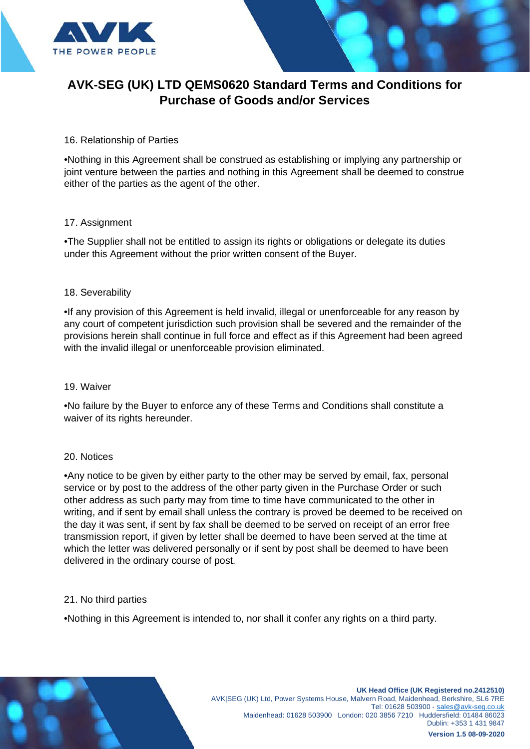

### 16. Relationship of Parties

•Nothing in this Agreement shall be construed as establishing or implying any partnership or joint venture between the parties and nothing in this Agreement shall be deemed to construe either of the parties as the agent of the other.

#### 17. Assignment

•The Supplier shall not be entitled to assign its rights or obligations or delegate its duties under this Agreement without the prior written consent of the Buyer.

### 18. Severability

•If any provision of this Agreement is held invalid, illegal or unenforceable for any reason by any court of competent jurisdiction such provision shall be severed and the remainder of the provisions herein shall continue in full force and effect as if this Agreement had been agreed with the invalid illegal or unenforceable provision eliminated.

#### 19. Waiver

•No failure by the Buyer to enforce any of these Terms and Conditions shall constitute a waiver of its rights hereunder.

#### 20. Notices

•Any notice to be given by either party to the other may be served by email, fax, personal service or by post to the address of the other party given in the Purchase Order or such other address as such party may from time to time have communicated to the other in writing, and if sent by email shall unless the contrary is proved be deemed to be received on the day it was sent, if sent by fax shall be deemed to be served on receipt of an error free transmission report, if given by letter shall be deemed to have been served at the time at which the letter was delivered personally or if sent by post shall be deemed to have been delivered in the ordinary course of post.

#### 21. No third parties

•Nothing in this Agreement is intended to, nor shall it confer any rights on a third party.